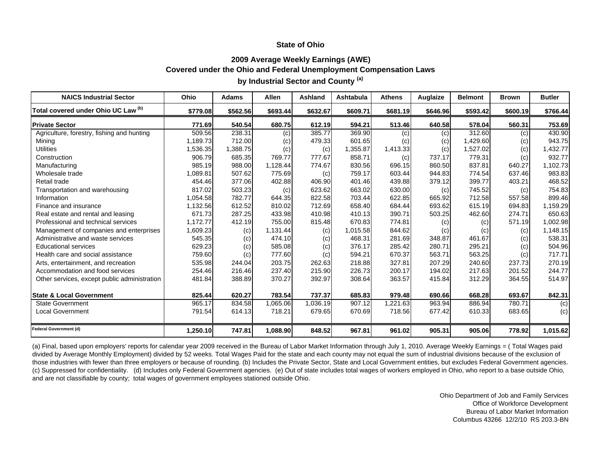## **2009 Average Weekly Earnings (AWE) Covered under the Ohio and Federal Unemployment Compensation Laws**

**by Industrial Sector and County (a)**

| <b>NAICS Industrial Sector</b>               | Ohio     | <b>Adams</b> | Allen    | Ashland  | Ashtabula | <b>Athens</b> | Auglaize | <b>Belmont</b> | <b>Brown</b> | <b>Butler</b> |
|----------------------------------------------|----------|--------------|----------|----------|-----------|---------------|----------|----------------|--------------|---------------|
| Total covered under Ohio UC Law (b)          | \$779.08 | \$562.56     | \$693.44 | \$632.67 | \$609.71  | \$681.19      | \$646.96 | \$593.42       | \$600.19     | \$766.44      |
| <b>Private Sector</b>                        | 771.69   | 540.54       | 680.75   | 612.19   | 594.21    | 513.46        | 640.58   | 578.04         | 560.31       | 753.69        |
| Agriculture, forestry, fishing and hunting   | 509.56   | 238.31       | (c)      | 385.77   | 369.90    | (c)           | (c)      | 312.60         | (c)          | 430.90        |
| Mining                                       | 1,189.73 | 712.00       | (c)      | 479.33   | 601.65    | (c)           | (c)      | 1,429.60       | (c)          | 943.75        |
| <b>Utilities</b>                             | 1,536.35 | 1,388.75     | (c)      | (c)      | 1,355.87  | 1,413.33      | (c)      | 1,527.02       | (c)          | 1,432.77      |
| Construction                                 | 906.79   | 685.35       | 769.77   | 777.67   | 858.71    | (c)           | 737.17   | 779.31         | (c)          | 932.77        |
| Manufacturing                                | 985.19   | 988.00       | 1,128.44 | 774.67   | 830.56    | 696.15        | 860.50   | 837.81         | 640.27       | 1,102.73      |
| Wholesale trade                              | 1,089.81 | 507.62       | 775.69   | (c)      | 759.17    | 603.44        | 944.83   | 774.54         | 637.46       | 983.83        |
| Retail trade                                 | 454.46   | 377.06       | 402.88   | 406.90   | 401.46    | 439.88        | 379.12   | 399.77         | 403.21       | 468.52        |
| Transportation and warehousing               | 817.02   | 503.23       | (c)      | 623.62   | 663.02    | 630.00        | (c)      | 745.52         | (c)          | 754.83        |
| Information                                  | 1,054.58 | 782.77       | 644.35   | 822.58   | 703.44    | 622.85        | 665.92   | 712.58         | 557.58       | 899.46        |
| Finance and insurance                        | 1,132.56 | 612.52       | 810.02   | 712.69   | 658.40    | 684.44        | 693.62   | 615.19         | 694.83       | 1,159.29      |
| Real estate and rental and leasing           | 671.73   | 287.25       | 433.98   | 410.98   | 410.13    | 390.71        | 503.25   | 462.60         | 274.71       | 650.63        |
| Professional and technical services          | 1,172.77 | 412.19       | 755.00   | 815.48   | 670.83    | 774.81        | (c)      | (c)            | 571.19       | 1,002.98      |
| Management of companies and enterprises      | 1,609.23 | (c)          | 1,131.44 | (c)      | 1,015.58  | 844.62        | (c)      | (c)            | (c)          | 1,148.15      |
| Administrative and waste services            | 545.35   | (c)          | 474.10   | (c)      | 468.31    | 281.69        | 348.87   | 461.67         | (c)          | 538.31        |
| <b>Educational services</b>                  | 629.23   | (c)          | 585.08   | (c)      | 376.17    | 285.42        | 280.71   | 295.21         | (c)          | 504.96        |
| Health care and social assistance            | 759.60   | (c)          | 777.60   | (c)      | 594.21    | 670.37        | 563.71   | 563.25         | (c)          | 717.71        |
| Arts, entertainment, and recreation          | 535.98   | 244.04       | 203.75   | 262.63   | 218.88    | 327.81        | 207.29   | 240.60         | 237.73       | 270.19        |
| Accommodation and food services              | 254.46   | 216.46       | 237.40   | 215.90   | 226.73    | 200.17        | 194.02   | 217.63         | 201.52       | 244.77        |
| Other services, except public administration | 481.84   | 388.89       | 370.27   | 392.97   | 308.64    | 363.57        | 415.84   | 312.29         | 364.55       | 514.97        |
| <b>State &amp; Local Government</b>          | 825.44   | 620.27       | 783.54   | 737.37   | 685.83    | 979.48        | 690.66   | 668.28         | 693.67       | 842.31        |
| <b>State Government</b>                      | 965.17   | 834.58       | 1,065.06 | 1,036.19 | 907.12    | ,221.63       | 963.94   | 886.94         | 780.71       | (c)           |
| Local Government                             | 791.54   | 614.13       | 718.21   | 679.65   | 670.69    | 718.56        | 677.42   | 610.33         | 683.65       | (c)           |
| Federal Government (d)                       | 1,250.10 | 747.81       | 1,088.90 | 848.52   | 967.81    | 961.02        | 905.31   | 905.06         | 778.92       | 1,015.62      |

(a) Final, based upon employers' reports for calendar year 2009 received in the Bureau of Labor Market Information through July 1, 2010. Average Weekly Earnings = ( Total Wages paid divided by Average Monthly Employment) divided by 52 weeks. Total Wages Paid for the state and each county may not equal the sum of industrial divisions because of the exclusion of those industries with fewer than three employers or because of rounding. (b) Includes the Private Sector, State and Local Government entities, but excludes Federal Government agencies. (c) Suppressed for confidentiality. (d) Includes only Federal Government agencies. (e) Out of state includes total wages of workers employed in Ohio, who report to a base outside Ohio, and are not classifiable by county; total wages of government employees stationed outside Ohio.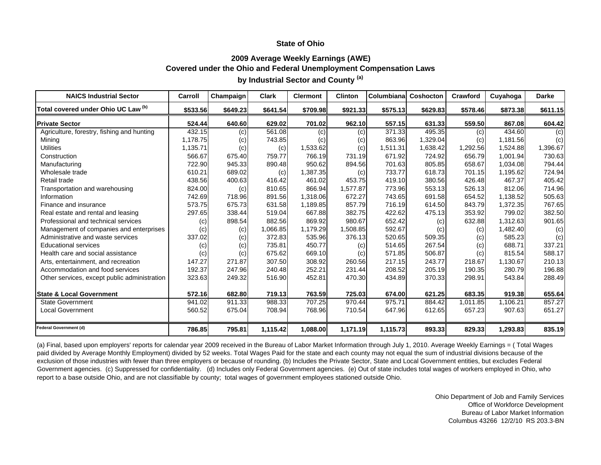# **2009 Average Weekly Earnings (AWE) Covered under the Ohio and Federal Unemployment Compensation Laws**

| <b>NAICS Industrial Sector</b>               | Carroll  | Champaign | <b>Clark</b> | <b>Clermont</b> | <b>Clinton</b> | Columbiana | Coshocton | Crawford | Cuyahoga | Darke    |
|----------------------------------------------|----------|-----------|--------------|-----------------|----------------|------------|-----------|----------|----------|----------|
| Total covered under Ohio UC Law (b)          | \$533.56 | \$649.23  | \$641.54     | \$709.98        | \$921.33       | \$575.13   | \$629.83  | \$578.46 | \$873.38 | \$611.15 |
| <b>Private Sector</b>                        | 524.44   | 640.60    | 629.02       | 701.02          | 962.10         | 557.15     | 631.33    | 559.50   | 867.08   | 604.42   |
| Agriculture, forestry, fishing and hunting   | 432.15   | (c)       | 561.08       | (c)             | (c)            | 371.33     | 495.35    | (c)      | 434.60   | (c)      |
| Mining                                       | 1,178.75 | (c)       | 743.85       | (c)             | (c)            | 863.96     | 1,329.04  | (c)      | 1,181.56 | (c)      |
| <b>Utilities</b>                             | 1,135.71 | (c)       | (c)          | 1,533.62        | (c)            | 1,511.31   | 1,638.42  | 1,292.56 | 1.524.88 | 1,396.67 |
| Construction                                 | 566.67   | 675.40    | 759.77       | 766.19          | 731.19         | 671.92     | 724.92    | 656.79   | 1,001.94 | 730.63   |
| Manufacturing                                | 722.90   | 945.33    | 890.48       | 950.62          | 894.56         | 701.63     | 805.85    | 658.67   | 1.034.08 | 794.44   |
| Wholesale trade                              | 610.21   | 689.02    | (c)          | 1,387.35        | (c)            | 733.77     | 618.73    | 701.15   | 1,195.62 | 724.94   |
| Retail trade                                 | 438.56   | 400.63    | 416.42       | 461.02          | 453.75         | 419.10     | 380.56    | 426.48   | 467.37   | 405.42   |
| Transportation and warehousing               | 824.00   | (c)       | 810.65       | 866.94          | 1,577.87       | 773.96     | 553.13    | 526.13   | 812.06   | 714.96   |
| Information                                  | 742.69   | 718.96    | 891.56       | 1,318.06        | 672.27         | 743.65     | 691.58    | 654.52   | 1,138.52 | 505.63   |
| Finance and insurance                        | 573.75   | 675.73    | 631.58       | 1,189.85        | 857.79         | 716.19     | 614.50    | 843.79   | 1,372.35 | 767.65   |
| Real estate and rental and leasing           | 297.65   | 338.44    | 519.04       | 667.88          | 382.75         | 422.62     | 475.13    | 353.92   | 799.02   | 382.50   |
| Professional and technical services          | (c)      | 898.54    | 882.56       | 869.92          | 980.67         | 652.42     | (c)       | 632.88   | 1,312.63 | 901.65   |
| Management of companies and enterprises      | (c)      | (c)       | 1,066.85     | 1,179.29        | 1,508.85       | 592.67     | (c)       | (c)      | 1,482.40 | (c)      |
| Administrative and waste services            | 337.02   | (c)       | 372.83       | 535.96          | 376.13         | 520.65     | 509.35    | (c)      | 585.23   | (c)      |
| <b>Educational services</b>                  | (c)      | (c)       | 735.81       | 450.77          | (c)            | 514.65     | 267.54    | (c)      | 688.71   | 337.21   |
| Health care and social assistance            | (c)      | (c)       | 675.62       | 669.10          | (c)            | 571.85     | 506.87    | (c)      | 815.54   | 588.17   |
| Arts, entertainment, and recreation          | 147.27   | 271.87    | 307.50       | 308.92          | 260.56         | 217.15     | 243.77    | 218.67   | 1,130.67 | 210.13   |
| Accommodation and food services              | 192.37   | 247.96    | 240.48       | 252.21          | 231.44         | 208.52     | 205.19    | 190.35   | 280.79   | 196.88   |
| Other services, except public administration | 323.63   | 249.32    | 516.90       | 452.81          | 470.30         | 434.89     | 370.33    | 298.91   | 543.84   | 288.49   |
| <b>State &amp; Local Government</b>          | 572.16   | 682.80    | 719.13       | 763.59          | 725.03         | 674.00     | 621.25    | 683.35   | 919.38   | 655.64   |
| <b>State Government</b>                      | 941.02   | 911.33    | 988.33       | 707.25          | 970.44         | 975.71     | 884.42    | 1,011.85 | 1,106.21 | 857.27   |
| <b>Local Government</b>                      | 560.52   | 675.04    | 708.94       | 768.96          | 710.54         | 647.96     | 612.65    | 657.23   | 907.63   | 651.27   |
| Federal Government (d)                       | 786.85   | 795.81    | 1,115.42     | 1,088.00        | 1,171.19       | 1,115.73   | 893.33    | 829.33   | 1,293.83 | 835.19   |

**by Industrial Sector and County (a)**

(a) Final, based upon employers' reports for calendar year 2009 received in the Bureau of Labor Market Information through July 1, 2010. Average Weekly Earnings = ( Total Wages paid divided by Average Monthly Employment) divided by 52 weeks. Total Wages Paid for the state and each county may not equal the sum of industrial divisions because of the exclusion of those industries with fewer than three employers or because of rounding. (b) Includes the Private Sector, State and Local Government entities, but excludes Federal Government agencies. (c) Suppressed for confidentiality. (d) Includes only Federal Government agencies. (e) Out of state includes total wages of workers employed in Ohio, who report to a base outside Ohio, and are not classifiable by county; total wages of government employees stationed outside Ohio.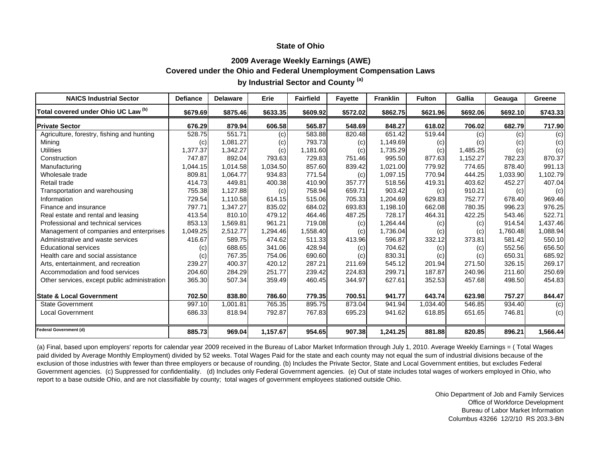### **2009 Average Weekly Earnings (AWE) Covered under the Ohio and Federal Unemployment Compensation Laws by Industrial Sector and County (a)**

| <b>NAICS Industrial Sector</b>               | <b>Defiance</b> | <b>Delaware</b> | Erie     | <b>Fairfield</b> | <b>Fayette</b> | <b>Franklin</b> | <b>Fulton</b> | Gallia   | Geauga   | Greene   |
|----------------------------------------------|-----------------|-----------------|----------|------------------|----------------|-----------------|---------------|----------|----------|----------|
| Total covered under Ohio UC Law (b)          | \$679.69        | \$875.46        | \$633.35 | \$609.92         | \$572.02       | \$862.75        | \$621.96      | \$692.06 | \$692.10 | \$743.33 |
| <b>Private Sector</b>                        | 676.29          | 879.94          | 606.58   | 565.87           | 548.69         | 848.27          | 618.02        | 706.02   | 682.79   | 717.90   |
| Agriculture, forestry, fishing and hunting   | 528.75          | 551.71          | (c)      | 583.88           | 820.48         | 651.42          | 519.44        | (c)      | (c)      | (c)      |
| Mining                                       | (c)             | 1,081.27        | (c)      | 793.73           | (c)            | 1,149.69        | (c)           | (c)      | (c)      | (c)      |
| <b>Utilities</b>                             | 1,377.37        | 1,342.27        | (c)      | 1,181.60         | (c)            | 1,735.29        | (c)           | 1,485.25 | (c)      | (c)      |
| Construction                                 | 747.87          | 892.04          | 793.63   | 729.83           | 751.46         | 995.50          | 877.63        | 1,152.27 | 782.23   | 870.37   |
| Manufacturing                                | 1,044.15        | 1,014.58        | 1,034.50 | 857.60           | 839.42         | 1,021.00        | 779.92        | 774.65   | 878.40   | 991.13   |
| Wholesale trade                              | 809.81          | 1,064.77        | 934.83   | 771.54           | (c)            | 1,097.15        | 770.94        | 444.25   | 1,033.90 | 1,102.79 |
| Retail trade                                 | 414.73          | 449.81          | 400.38   | 410.90           | 357.77         | 518.56          | 419.31        | 403.62   | 452.27   | 407.04   |
| Transportation and warehousing               | 755.38          | 1,127.88        | (c)      | 758.94           | 659.71         | 903.42          | (c)           | 910.21   | (c)      | (c)      |
| Information                                  | 729.54          | 1.110.58        | 614.15   | 515.06           | 705.33         | 1.204.69        | 629.83        | 752.77   | 678.40   | 969.46   |
| Finance and insurance                        | 797.71          | 1.347.27        | 835.02   | 684.02           | 693.83         | 1,198.10        | 662.08        | 780.35   | 996.23   | 976.25   |
| Real estate and rental and leasing           | 413.54          | 810.10          | 479.12   | 464.46           | 487.25         | 728.17          | 464.31        | 422.25   | 543.46   | 522.71   |
| Professional and technical services          | 853.13          | 1,569.81        | 961.21   | 719.08           | (c)            | 1,264.44        | (c)           | (c)      | 914.54   | 1,437.46 |
| Management of companies and enterprises      | 1,049.25        | 2,512.77        | 1,294.46 | 1,558.40         | (c)            | 1,736.04        | (c)           | (c)      | 1,760.48 | 1,088.94 |
| Administrative and waste services            | 416.67          | 589.75          | 474.62   | 511.33           | 413.96         | 596.87          | 332.12        | 373.81   | 581.42   | 550.10   |
| <b>Educational services</b>                  | (c)             | 688.65          | 341.06   | 428.94           | (c)            | 704.62          | (c)           | (c)      | 552.56   | 656.50   |
| Health care and social assistance            | (c)             | 767.35          | 754.06   | 690.60           | (c)            | 830.31          | (c)           | (c)      | 650.31   | 685.92   |
| Arts, entertainment, and recreation          | 239.27          | 400.37          | 420.12   | 287.21           | 211.69         | 545.12          | 201.94        | 271.50   | 326.15   | 269.17   |
| Accommodation and food services              | 204.60          | 284.29          | 251.77   | 239.42           | 224.83         | 299.71          | 187.87        | 240.96   | 211.60   | 250.69   |
| Other services, except public administration | 365.30          | 507.34          | 359.49   | 460.45           | 344.97         | 627.61          | 352.53        | 457.68   | 498.50   | 454.83   |
| <b>State &amp; Local Government</b>          | 702.50          | 838.80          | 786.60   | 779.35           | 700.51         | 941.77          | 643.74        | 623.98   | 757.27   | 844.47   |
| <b>State Government</b>                      | 997.10          | 1,001.81        | 765.35   | 895.75           | 873.04         | 941.94          | 1,034.40      | 546.85   | 934.40   | (c)      |
| <b>Local Government</b>                      | 686.33          | 818.94          | 792.87   | 767.83           | 695.23         | 941.62          | 618.85        | 651.65   | 746.81   | (c)      |
| <b>Federal Government (d)</b>                | 885.73          | 969.04          | 1,157.67 | 954.65           | 907.38         | 1,241.25        | 881.88        | 820.85   | 896.21   | 1,566.44 |

(a) Final, based upon employers' reports for calendar year 2009 received in the Bureau of Labor Market Information through July 1, 2010. Average Weekly Earnings = ( Total Wages paid divided by Average Monthly Employment) divided by 52 weeks. Total Wages Paid for the state and each county may not equal the sum of industrial divisions because of the exclusion of those industries with fewer than three employers or because of rounding. (b) Includes the Private Sector, State and Local Government entities, but excludes Federal Government agencies. (c) Suppressed for confidentiality. (d) Includes only Federal Government agencies. (e) Out of state includes total wages of workers employed in Ohio, who report to a base outside Ohio, and are not classifiable by county; total wages of government employees stationed outside Ohio.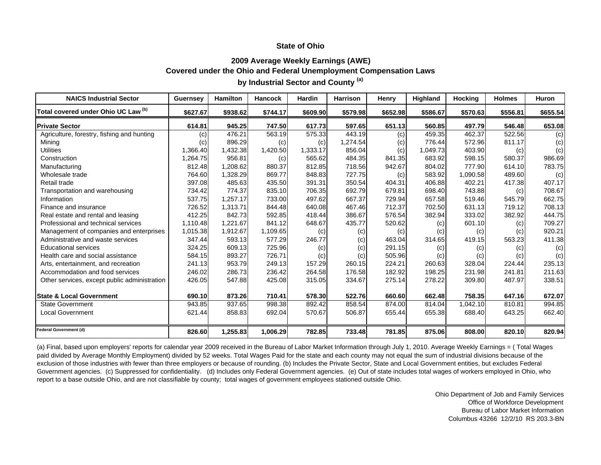### **2009 Average Weekly Earnings (AWE) Covered under the Ohio and Federal Unemployment Compensation Laws by Industrial Sector and County (a)**

| <b>NAICS Industrial Sector</b>               | <b>Guernsey</b> | <b>Hamilton</b> | <b>Hancock</b> | Hardin   | <b>Harrison</b> | Henry    | Highland | <b>Hocking</b> | <b>Holmes</b> | <b>Huron</b> |
|----------------------------------------------|-----------------|-----------------|----------------|----------|-----------------|----------|----------|----------------|---------------|--------------|
| Total covered under Ohio UC Law (b)          | \$627.67        | \$938.62        | \$744.17       | \$609.90 | \$579.98        | \$652.98 | \$586.67 | \$570.63       | \$556.81      | \$655.54     |
| <b>Private Sector</b>                        | 614.81          | 945.25          | 747.50         | 617.73   | 597.65          | 651.13   | 560.85   | 497.79         | 546.48        | 653.08       |
| Agriculture, forestry, fishing and hunting   | (c)             | 476.21          | 563.19         | 575.33   | 443.19          | (c)      | 459.35   | 462.37         | 522.56        | (c)          |
| Mining                                       | (c)             | 896.29          | (c)            | (c)      | 1,274.54        | (c)      | 776.44   | 572.96         | 811.17        | (c)          |
| <b>Utilities</b>                             | 1,366.40        | 1,432.38        | 1,420.50       | 1,333.17 | 856.04          | (c)      | 1,049.73 | 403.90         | (c)           | (c)          |
| Construction                                 | 1,264.75        | 956.81          | (c)            | 565.62   | 484.35          | 841.35   | 683.92   | 598.15         | 580.37        | 986.69       |
| Manufacturing                                | 812.48          | 1,208.62        | 880.37         | 812.85   | 718.56          | 942.67   | 804.02   | 777.90         | 614.10        | 783.75       |
| Wholesale trade                              | 764.60          | 1,328.29        | 869.77         | 848.83   | 727.75          | (c)      | 583.92   | 1,090.58       | 489.60        | (c)          |
| Retail trade                                 | 397.08          | 485.63          | 435.50         | 391.31   | 350.54          | 404.31   | 406.88   | 402.21         | 417.38        | 407.17       |
| Transportation and warehousing               | 734.42          | 774.37          | 835.10         | 706.35   | 692.79          | 679.81   | 698.40   | 743.88         | (c)           | 708.67       |
| Information                                  | 537.75          | 1.257.17        | 733.00         | 497.62   | 667.37          | 729.94   | 657.58   | 519.46         | 545.79        | 662.75       |
| Finance and insurance                        | 726.52          | 1,313.71        | 844.48         | 640.08   | 467.46          | 712.37   | 702.50   | 631.13         | 719.12        | 708.13       |
| Real estate and rental and leasing           | 412.25          | 842.73          | 592.85         | 418.44   | 386.67          | 576.54   | 382.94   | 333.02         | 382.92        | 444.75       |
| Professional and technical services          | 1,110.48        | 1,221.67        | 841.12         | 648.67   | 435.77          | 520.62   | (c)      | 601.10         | (c)           | 709.27       |
| Management of companies and enterprises      | 1,015.38        | 1,912.67        | 1,109.65       | (c)      | (c)             | (c)      | (c)      | (c)            | (c)           | 920.21       |
| Administrative and waste services            | 347.44          | 593.13          | 577.29         | 246.77   | (c)             | 463.04   | 314.65   | 419.15         | 563.23        | 411.38       |
| <b>Educational services</b>                  | 324.25          | 609.13          | 725.96         | (c)      | (c)             | 291.15   | (c)      | (c)            | (c)           | (c)          |
| Health care and social assistance            | 584.15          | 893.27          | 726.71         | (c)      | (c)             | 505.96   | (c)      | (c)            | (c)           | (c)          |
| Arts, entertainment, and recreation          | 241.13          | 953.79          | 249.13         | 157.29   | 260.15          | 224.21   | 260.63   | 328.04         | 224.44        | 235.13       |
| Accommodation and food services              | 246.02          | 286.73          | 236.42         | 264.58   | 176.58          | 182.92   | 198.25   | 231.98         | 241.81        | 211.63       |
| Other services, except public administration | 426.05          | 547.88          | 425.08         | 315.05   | 334.67          | 275.14   | 278.22   | 309.80         | 487.97        | 338.51       |
| <b>State &amp; Local Government</b>          | 690.10          | 873.26          | 710.41         | 578.30   | 522.76          | 660.60   | 662.48   | 758.35         | 647.16        | 672.07       |
| <b>State Government</b>                      | 943.85          | 937.65          | 998.38         | 892.42   | 858.54          | 874.00   | 814.04   | 1,042.10       | 810.81        | 994.85       |
| <b>Local Government</b>                      | 621.44          | 858.83          | 692.04         | 570.67   | 506.87          | 655.44   | 655.38   | 688.40         | 643.25        | 662.40       |
| <b>Federal Government (d)</b>                | 826.60          | 1,255.83        | 1,006.29       | 782.85   | 733.48          | 781.85   | 875.06   | 808.00         | 820.10        | 820.94       |

(a) Final, based upon employers' reports for calendar year 2009 received in the Bureau of Labor Market Information through July 1, 2010. Average Weekly Earnings = ( Total Wages paid divided by Average Monthly Employment) divided by 52 weeks. Total Wages Paid for the state and each county may not equal the sum of industrial divisions because of the exclusion of those industries with fewer than three employers or because of rounding. (b) Includes the Private Sector, State and Local Government entities, but excludes Federal Government agencies. (c) Suppressed for confidentiality. (d) Includes only Federal Government agencies. (e) Out of state includes total wages of workers employed in Ohio, who report to a base outside Ohio, and are not classifiable by county; total wages of government employees stationed outside Ohio.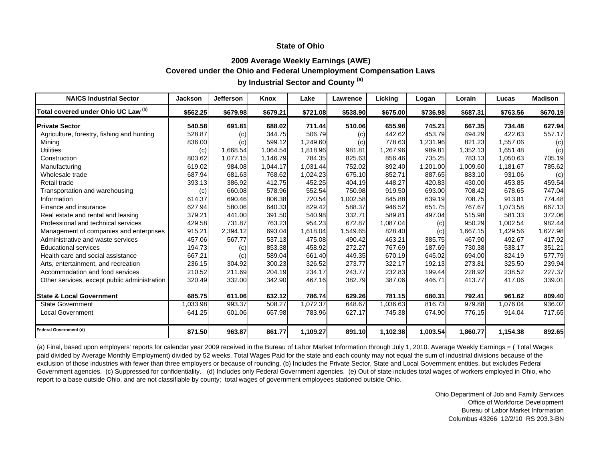### **2009 Average Weekly Earnings (AWE) Covered under the Ohio and Federal Unemployment Compensation Laws by Industrial Sector and County (a)**

| <b>NAICS Industrial Sector</b>               | <b>Jackson</b> | <b>Jefferson</b> | Knox     | Lake     | Lawrence | Licking  | Logan    | Lorain   | Lucas    | <b>Madison</b> |
|----------------------------------------------|----------------|------------------|----------|----------|----------|----------|----------|----------|----------|----------------|
| Total covered under Ohio UC Law (b)          | \$562.25       | \$679.98         | \$679.21 | \$721.08 | \$538.90 | \$675.00 | \$736.98 | \$687.31 | \$763.56 | \$670.19       |
| <b>Private Sector</b>                        | 540.58         | 691.81           | 688.02   | 711.44   | 510.06   | 655.98   | 745.21   | 667.35   | 734.48   | 627.94         |
| Agriculture, forestry, fishing and hunting   | 528.87         | (c)              | 344.75   | 506.79   | (c)      | 442.62   | 453.79   | 494.29   | 422.63   | 557.17         |
| Mining                                       | 836.00         | (c)              | 599.12   | 1,249.60 | (c)      | 778.63   | 1,231.96 | 821.23   | 1,557.06 | (c)            |
| <b>Utilities</b>                             | (c)            | 1,668.54         | 1,064.54 | 1,818.96 | 981.81   | 1,267.96 | 989.81   | 1,352.13 | 1,651.48 | (c)            |
| Construction                                 | 803.62         | 1,077.15         | 1,146.79 | 784.35   | 825.63   | 856.46   | 735.25   | 783.13   | 1,050.63 | 705.19         |
| Manufacturing                                | 619.02         | 984.08           | 1,044.17 | 1,031.44 | 752.02   | 892.40   | 1,201.00 | 1,009.60 | 1,181.67 | 785.62         |
| Wholesale trade                              | 687.94         | 681.63           | 768.62   | 1,024.23 | 675.10   | 852.71   | 887.65   | 883.10   | 931.06   | (c)            |
| Retail trade                                 | 393.13         | 386.92           | 412.75   | 452.25   | 404.19   | 448.27   | 420.83   | 430.00   | 453.85   | 459.54         |
| Transportation and warehousing               | (c)            | 660.08           | 578.96   | 552.54   | 750.98   | 919.50   | 693.00   | 708.42   | 678.65   | 747.04         |
| Information                                  | 614.37         | 690.46           | 806.38   | 720.54   | 1,002.58 | 845.88   | 639.19   | 708.75   | 913.81   | 774.48         |
| Finance and insurance                        | 627.94         | 580.06           | 640.33   | 829.42   | 588.37   | 946.52   | 651.75   | 767.67   | 1,073.58 | 667.13         |
| Real estate and rental and leasing           | 379.21         | 441.00           | 391.50   | 540.98   | 332.71   | 589.81   | 497.04   | 515.98   | 581.33   | 372.06         |
| Professional and technical services          | 429.58         | 731.87           | 763.23   | 954.23   | 672.87   | 1,087.04 | (c)      | 950.29   | 1,002.54 | 982.44         |
| Management of companies and enterprises      | 915.21         | 2,394.12         | 693.04   | 1,618.04 | 1,549.65 | 828.40   | (c)      | 1,667.15 | 1,429.56 | 1,627.98       |
| Administrative and waste services            | 457.06         | 567.77           | 537.13   | 475.08   | 490.42   | 463.21   | 385.75   | 467.90   | 492.67   | 417.92         |
| <b>Educational services</b>                  | 194.73         | (c)              | 853.38   | 458.92   | 272.27   | 767.69   | 187.69   | 730.38   | 538.17   | 351.21         |
| Health care and social assistance            | 667.21         | (c)              | 589.04   | 661.40   | 449.35   | 670.19   | 645.02   | 694.00   | 824.19   | 577.79         |
| Arts, entertainment, and recreation          | 236.15         | 304.92           | 300.23   | 326.52   | 273.77   | 322.17   | 192.13   | 273.81   | 325.50   | 239.94         |
| Accommodation and food services              | 210.52         | 211.69           | 204.19   | 234.17   | 243.77   | 232.83   | 199.44   | 228.92   | 238.52   | 227.37         |
| Other services, except public administration | 320.49         | 332.00           | 342.90   | 467.16   | 382.79   | 387.06   | 446.71   | 413.77   | 417.06   | 339.01         |
| <b>State &amp; Local Government</b>          | 685.75         | 611.06           | 632.12   | 786.74   | 629.26   | 781.15   | 680.31   | 792.41   | 961.62   | 809.40         |
| <b>State Government</b>                      | 1,033.98       | 993.37           | 508.27   | 1,072.37 | 648.67   | 1,036.63 | 816.73   | 979.88   | 1,076.04 | 936.02         |
| <b>Local Government</b>                      | 641.25         | 601.06           | 657.98   | 783.96   | 627.17   | 745.38   | 674.90   | 776.15   | 914.04   | 717.65         |
| <b>Federal Government (d)</b>                | 871.50         | 963.87           | 861.77   | 1,109.27 | 891.10   | 1,102.38 | 1,003.54 | 1,860.77 | 1,154.38 | 892.65         |

(a) Final, based upon employers' reports for calendar year 2009 received in the Bureau of Labor Market Information through July 1, 2010. Average Weekly Earnings = ( Total Wages paid divided by Average Monthly Employment) divided by 52 weeks. Total Wages Paid for the state and each county may not equal the sum of industrial divisions because of the exclusion of those industries with fewer than three employers or because of rounding. (b) Includes the Private Sector, State and Local Government entities, but excludes Federal Government agencies. (c) Suppressed for confidentiality. (d) Includes only Federal Government agencies. (e) Out of state includes total wages of workers employed in Ohio, who report to a base outside Ohio, and are not classifiable by county; total wages of government employees stationed outside Ohio.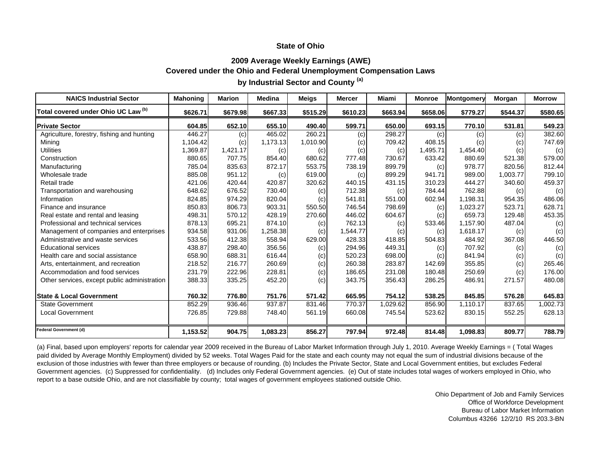### **2009 Average Weekly Earnings (AWE) Covered under the Ohio and Federal Unemployment Compensation Laws by Industrial Sector and County (a)**

| <b>NAICS Industrial Sector</b>               | <b>Mahoning</b> | <b>Marion</b> | <b>Medina</b> | <b>Meigs</b> | <b>Mercer</b> | Miami    | <b>Monroe</b> | Montgomery | Morgan   | <b>Morrow</b> |
|----------------------------------------------|-----------------|---------------|---------------|--------------|---------------|----------|---------------|------------|----------|---------------|
| Total covered under Ohio UC Law (b)          | \$626.71        | \$679.98      | \$667.33      | \$515.29     | \$610.23      | \$663.94 | \$658.06      | \$779.27   | \$544.37 | \$580.65      |
| <b>Private Sector</b>                        | 604.85          | 652.10        | 655.10        | 490.40       | 599.71        | 650.00   | 693.15        | 770.10     | 531.81   | 549.23        |
| Agriculture, forestry, fishing and hunting   | 446.27          | (c)           | 465.02        | 260.21       | (c)           | 298.27   | (c)           | (c)        | (c)      | 382.60        |
| Mining                                       | 1,104.42        | (c)           | 1,173.13      | 1,010.90     | (c)           | 709.42   | 408.15        | (c)        | (c)      | 747.69        |
| <b>Utilities</b>                             | 1,369.87        | 1,421.17      | (c)           | (c)          | (c)           | (c)      | 1,495.71      | 1,454.40   | (c)      | (c)           |
| Construction                                 | 880.65          | 707.75        | 854.40        | 680.62       | 777.48        | 730.67   | 633.42        | 880.69     | 521.38   | 579.00        |
| Manufacturing                                | 785.04          | 835.63        | 872.17        | 553.75       | 738.19        | 899.79   | (c)           | 978.77     | 820.56   | 812.44        |
| Wholesale trade                              | 885.08          | 951.12        | (c)           | 619.00       | (c)           | 899.29   | 941.71        | 989.00     | 1,003.77 | 799.10        |
| Retail trade                                 | 421.06          | 420.44        | 420.87        | 320.62       | 440.15        | 431.15   | 310.23        | 444.27     | 340.60   | 459.37        |
| Transportation and warehousing               | 648.62          | 676.52        | 730.40        | (c)          | 712.38        | (c)      | 784.44        | 762.88     | (c)      | (c)           |
| Information                                  | 824.85          | 974.29        | 820.04        | (c)          | 541.81        | 551.00   | 602.94        | 1.198.31   | 954.35   | 486.06        |
| Finance and insurance                        | 850.83          | 806.73        | 903.31        | 550.50       | 746.54        | 798.69   | (c)           | 1,023.27   | 523.71   | 628.71        |
| Real estate and rental and leasing           | 498.31          | 570.12        | 428.19        | 270.60       | 446.02        | 604.67   | (c)           | 659.73     | 129.48   | 453.35        |
| Professional and technical services          | 878.13          | 695.21        | 874.10        | (c)          | 762.13        | (c)      | 533.46        | 1,157.90   | 487.04   | (c)           |
| Management of companies and enterprises      | 934.58          | 931.06        | 1,258.38      | (c)          | 1,544.77      | (c)      | (c)           | 1.618.17   | (c)      | (c)           |
| Administrative and waste services            | 533.56          | 412.38        | 558.94        | 629.00       | 428.33        | 418.85   | 504.83        | 484.92     | 367.08   | 446.50        |
| <b>Educational services</b>                  | 438.87          | 298.40        | 356.56        | (c)          | 294.96        | 449.31   | (c)           | 707.92     | (c)      | (c)           |
| Health care and social assistance            | 658.90          | 688.31        | 616.44        | (c)          | 520.23        | 698.00   | (c)           | 841.94     | (c)      | (c)           |
| Arts, entertainment, and recreation          | 218.52          | 216.77        | 260.69        | (c)          | 260.38        | 283.87   | 142.69        | 355.85     | (c)      | 265.46        |
| Accommodation and food services              | 231.79          | 222.96        | 228.81        | (c)          | 186.65        | 231.08   | 180.48        | 250.69     | (c)      | 176.00        |
| Other services, except public administration | 388.33          | 335.25        | 452.20        | (c)          | 343.75        | 356.43   | 286.25        | 486.91     | 271.57   | 480.08        |
| <b>State &amp; Local Government</b>          | 760.32          | 776.80        | 751.76        | 571.42       | 665.95        | 754.12   | 538.25        | 845.85     | 576.28   | 645.83        |
| <b>State Government</b>                      | 852.29          | 936.46        | 937.87        | 831.46       | 770.37        | 029.62   | 856.90        | 1,110.17   | 837.65   | ,002.73       |
| <b>Local Government</b>                      | 726.85          | 729.88        | 748.40        | 561.19       | 660.08        | 745.54   | 523.62        | 830.15     | 552.25   | 628.13        |
| <b>Federal Government (d)</b>                | 1,153.52        | 904.75        | 1,083.23      | 856.27       | 797.94        | 972.48   | 814.48        | 1,098.83   | 809.77   | 788.79        |

(a) Final, based upon employers' reports for calendar year 2009 received in the Bureau of Labor Market Information through July 1, 2010. Average Weekly Earnings = ( Total Wages paid divided by Average Monthly Employment) divided by 52 weeks. Total Wages Paid for the state and each county may not equal the sum of industrial divisions because of the exclusion of those industries with fewer than three employers or because of rounding. (b) Includes the Private Sector, State and Local Government entities, but excludes Federal Government agencies. (c) Suppressed for confidentiality. (d) Includes only Federal Government agencies. (e) Out of state includes total wages of workers employed in Ohio, who report to a base outside Ohio, and are not classifiable by county; total wages of government employees stationed outside Ohio.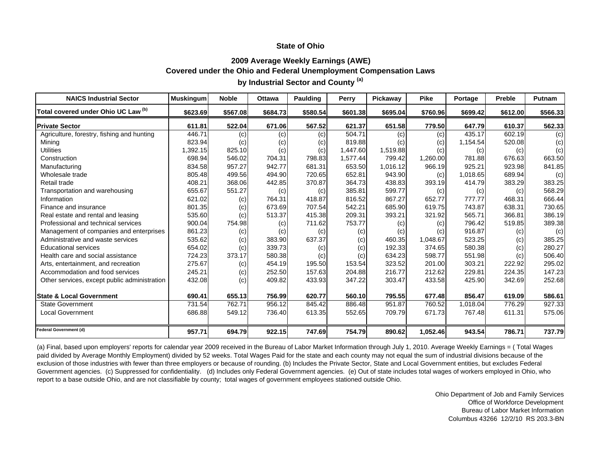### **2009 Average Weekly Earnings (AWE) Covered under the Ohio and Federal Unemployment Compensation Laws by Industrial Sector and County (a)**

| <b>NAICS Industrial Sector</b>               | <b>Muskingum</b> | <b>Noble</b> | <b>Ottawa</b> | <b>Paulding</b> | Perry    | Pickaway | <b>Pike</b> | Portage  | <b>Preble</b> | <b>Putnam</b> |
|----------------------------------------------|------------------|--------------|---------------|-----------------|----------|----------|-------------|----------|---------------|---------------|
| Total covered under Ohio UC Law (b)          | \$623.69         | \$567.08     | \$684.73      | \$580.54        | \$601.38 | \$695.04 | \$760.96    | \$699.42 | \$612,00      | \$566.33      |
| <b>Private Sector</b>                        | 611.81           | 522.04       | 671.06        | 567.52          | 621.37   | 651.58   | 779.50      | 647.79   | 610.37        | 562.33        |
| Agriculture, forestry, fishing and hunting   | 446.71           | (c)          | (c)           | (c)             | 504.71   | (c)      | (c)         | 435.17   | 602.19        | (c)           |
| Mining                                       | 823.94           | (c)          | (c)           | (c)             | 819.88   | (c)      | (c)         | 1,154.54 | 520.08        | (c)           |
| <b>Utilities</b>                             | 1,392.15         | 825.10       | (c)           | (c)             | 1,447.60 | 1,519.88 | (c)         | (c)      | (c)           | (c)           |
| Construction                                 | 698.94           | 546.02       | 704.31        | 798.83          | 1,577.44 | 799.42   | 1,260.00    | 781.88   | 676.63        | 663.50        |
| Manufacturing                                | 834.58           | 957.27       | 942.77        | 681.31          | 653.50   | 1,016.12 | 966.19      | 925.21   | 923.98        | 841.85        |
| Wholesale trade                              | 805.48           | 499.56       | 494.90        | 720.65          | 652.81   | 943.90   | (c)         | 1.018.65 | 689.94        | (c)           |
| Retail trade                                 | 408.21           | 368.06       | 442.85        | 370.87          | 364.73   | 438.83   | 393.19      | 414.79   | 383.29        | 383.25        |
| Transportation and warehousing               | 655.67           | 551.27       | (c)           | (c)             | 385.81   | 599.77   | (c)         | (c)      | (c)           | 568.29        |
| Information                                  | 621.02           | (c)          | 764.31        | 418.87          | 816.52   | 867.27   | 652.77      | 777.77   | 468.31        | 666.44        |
| Finance and insurance                        | 801.35           | (c)          | 673.69        | 707.54          | 542.21   | 685.90   | 619.75      | 743.87   | 638.31        | 730.65        |
| Real estate and rental and leasing           | 535.60           | (c)          | 513.37        | 415.38          | 209.31   | 393.21   | 321.92      | 565.71   | 366.81        | 386.19        |
| Professional and technical services          | 900.04           | 754.98       | (c)           | 711.62          | 753.77   | (c)      | (c)         | 796.42   | 519.85        | 389.38        |
| Management of companies and enterprises      | 861.23           | (c)          | (c)           | (c)             | (c)      | (c)      | (c)         | 916.87   | (c)           | (c)           |
| Administrative and waste services            | 535.62           | (c)          | 383.90        | 637.37          | (c)      | 460.35   | 1,048.67    | 523.25   | (c)           | 385.25        |
| <b>Educational services</b>                  | 654.02           | (c)          | 339.73        | (c)             | (c)      | 192.33   | 374.65      | 580.38   | (c)           | 280.27        |
| Health care and social assistance            | 724.23           | 373.17       | 580.38        | (c)             | (c)      | 634.23   | 598.77      | 551.98   | (c)           | 506.40        |
| Arts, entertainment, and recreation          | 275.67           | (c)          | 454.19        | 195.50          | 153.54   | 323.52   | 201.00      | 303.21   | 222.92        | 295.02        |
| Accommodation and food services              | 245.21           | (c)          | 252.50        | 157.63          | 204.88   | 216.77   | 212.62      | 229.81   | 224.35        | 147.23        |
| Other services, except public administration | 432.08           | (c)          | 409.82        | 433.93          | 347.22   | 303.47   | 433.58      | 425.90   | 342.69        | 252.68        |
| <b>State &amp; Local Government</b>          | 690.41           | 655.13       | 756.99        | 620.77          | 560.10   | 795.55   | 677.48      | 856.47   | 619.09        | 586.61        |
| <b>State Government</b>                      | 731.54           | 762.71       | 956.12        | 845.42          | 886.48   | 951.87   | 760.52      | 1.018.04 | 776.29        | 927.33        |
| <b>Local Government</b>                      | 686.88           | 549.12       | 736.40        | 613.35          | 552.65   | 709.79   | 671.73      | 767.48   | 611.31        | 575.06        |
| Federal Government (d)                       | 957.71           | 694.79       | 922.15        | 747.69          | 754.79   | 890.62   | 1,052.46    | 943.54   | 786.71        | 737.79        |

(a) Final, based upon employers' reports for calendar year 2009 received in the Bureau of Labor Market Information through July 1, 2010. Average Weekly Earnings = ( Total Wages paid divided by Average Monthly Employment) divided by 52 weeks. Total Wages Paid for the state and each county may not equal the sum of industrial divisions because of the exclusion of those industries with fewer than three employers or because of rounding. (b) Includes the Private Sector, State and Local Government entities, but excludes Federal Government agencies. (c) Suppressed for confidentiality. (d) Includes only Federal Government agencies. (e) Out of state includes total wages of workers employed in Ohio, who report to a base outside Ohio, and are not classifiable by county; total wages of government employees stationed outside Ohio.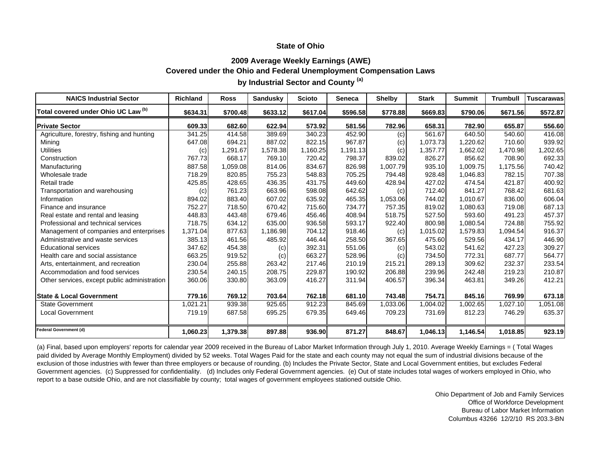### **2009 Average Weekly Earnings (AWE) Covered under the Ohio and Federal Unemployment Compensation Laws by Industrial Sector and County (a)**

| <b>NAICS Industrial Sector</b>               | <b>Richland</b> | <b>Ross</b> | <b>Sandusky</b> | <b>Scioto</b> | <b>Seneca</b> | <b>Shelby</b> | <b>Stark</b> | <b>Summit</b> | <b>Trumbull</b> | <b>Tuscarawas</b> |
|----------------------------------------------|-----------------|-------------|-----------------|---------------|---------------|---------------|--------------|---------------|-----------------|-------------------|
| Total covered under Ohio UC Law (b)          | \$634.31        | \$700.48    | \$633.12        | \$617.04      | \$596.58      | \$778.88      | \$669.83     | \$790.06      | \$671.56        | \$572.87          |
| <b>Private Sector</b>                        | 609.33          | 682.60      | 622.94          | 573.92        | 581.56        | 782.96        | 658.31       | 782.90        | 655.87          | 556.60            |
| Agriculture, forestry, fishing and hunting   | 341.25          | 414.58      | 389.69          | 340.23        | 452.90        | (c)           | 561.67       | 640.50        | 540.60          | 416.08            |
| Mining                                       | 647.08          | 694.21      | 887.02          | 822.15        | 967.87        | (c)           | 1,073.73     | 1,220.62      | 710.60          | 939.92            |
| <b>Utilities</b>                             | (c)             | 1,291.67    | 1,578.38        | 1,160.25      | 1,191.13      | (c)           | 1,357.77     | 1,662.02      | 1,470.98        | ,202.65           |
| Construction                                 | 767.73          | 668.17      | 769.10          | 720.42        | 798.37        | 839.02        | 826.27       | 856.62        | 708.90          | 692.33            |
| Manufacturing                                | 887.58          | 1,059.08    | 814.06          | 834.67        | 826.98        | 1,007.79      | 935.10       | 1,009.75      | 1,175.56        | 740.42            |
| Wholesale trade                              | 718.29          | 820.85      | 755.23          | 548.83        | 705.25        | 794.48        | 928.48       | 1,046.83      | 782.15          | 707.38            |
| Retail trade                                 | 425.85          | 428.65      | 436.35          | 431.75        | 449.60        | 428.94        | 427.02       | 474.54        | 421.87          | 400.92            |
| Transportation and warehousing               | (c)             | 761.23      | 663.96          | 598.08        | 642.62        | (c)           | 712.40       | 841.27        | 768.42          | 681.63            |
| Information                                  | 894.02          | 883.40      | 607.02          | 635.92        | 465.35        | 1,053.06      | 744.02       | 1.010.67      | 836.00          | 606.04            |
| Finance and insurance                        | 752.27          | 718.50      | 670.42          | 715.60        | 734.77        | 757.35        | 819.02       | 1,080.63      | 719.08          | 687.13            |
| Real estate and rental and leasing           | 448.83          | 443.48      | 679.46          | 456.46        | 408.94        | 518.75        | 527.50       | 593.60        | 491.23          | 457.37            |
| Professional and technical services          | 718.75          | 634.12      | 635.00          | 936.58        | 593.17        | 922.40        | 800.98       | 1,080.54      | 724.88          | 755.92            |
| Management of companies and enterprises      | 1,371.04        | 877.63      | 1,186.98        | 704.12        | 918.46        | (c)           | 1,015.02     | 1,579.83      | 1,094.54        | 916.37            |
| Administrative and waste services            | 385.13          | 461.56      | 485.92          | 446.44        | 258.50        | 367.65        | 475.60       | 529.56        | 434.17          | 446.90            |
| <b>Educational services</b>                  | 347.62          | 454.38      | (c)             | 392.31        | 551.06        | (c)           | 543.02       | 541.62        | 427.23          | 309.27            |
| Health care and social assistance            | 663.25          | 919.52      | (c)             | 663.27        | 528.96        | (c)           | 734.50       | 772.31        | 687.77          | 564.77            |
| Arts, entertainment, and recreation          | 230.04          | 255.88      | 263.42          | 217.46        | 210.19        | 215.21        | 289.13       | 309.62        | 232.37          | 233.54            |
| Accommodation and food services              | 230.54          | 240.15      | 208.75          | 229.87        | 190.92        | 206.88        | 239.96       | 242.48        | 219.23          | 210.87            |
| Other services, except public administration | 360.06          | 330.80      | 363.09          | 416.27        | 311.94        | 406.57        | 396.34       | 463.81        | 349.26          | 412.21            |
| <b>State &amp; Local Government</b>          | 779.16          | 769.12      | 703.64          | 762.18        | 681.10        | 743.48        | 754.71       | 845.16        | 769.99          | 673.18            |
| <b>State Government</b>                      | 021.21          | 939.38      | 925.65          | 912.23        | 845.69        | 1,033.06      | 1,004.02     | 1,002.65      | 1,027.10        | 1,051.08          |
| <b>Local Government</b>                      | 719.19          | 687.58      | 695.25          | 679.35        | 649.46        | 709.23        | 731.69       | 812.23        | 746.29          | 635.37            |
| <b>Federal Government (d)</b>                | 1,060.23        | 1,379.38    | 897.88          | 936.90        | 871.27        | 848.67        | 1,046.13     | 1,146.54      | 1,018.85        | 923.19            |

(a) Final, based upon employers' reports for calendar year 2009 received in the Bureau of Labor Market Information through July 1, 2010. Average Weekly Earnings = ( Total Wages paid divided by Average Monthly Employment) divided by 52 weeks. Total Wages Paid for the state and each county may not equal the sum of industrial divisions because of the exclusion of those industries with fewer than three employers or because of rounding. (b) Includes the Private Sector, State and Local Government entities, but excludes Federal Government agencies. (c) Suppressed for confidentiality. (d) Includes only Federal Government agencies. (e) Out of state includes total wages of workers employed in Ohio, who report to a base outside Ohio, and are not classifiable by county; total wages of government employees stationed outside Ohio.